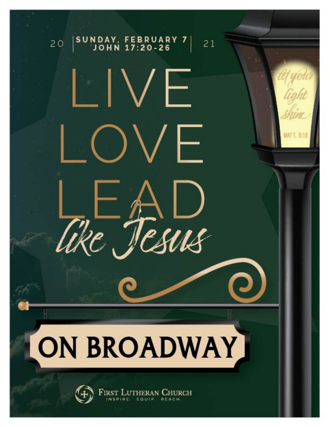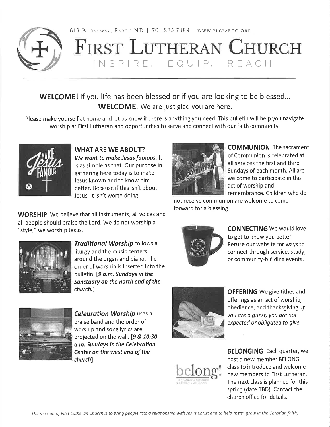



# FIRST LUTHERAN CHURCH INSPIRE, EQUIP, REACH.

# WELCOME! If you life has been blessed or if you are looking to be blessed... WELCOME. We are just glad you are here.

Please make yourself at home and let us know if there is anything you need. This bulletin will help you navigate worship at First Lutheran and opportunities to serve and connect with our faith community.



**WHAT ARE WE ABOUT?** We want to make Jesus famous. It is as simple as that. Our purpose in gathering here today is to make Jesus known and to know him better. Because if this isn't about Jesus, it isn't worth doing.

**WORSHIP** We believe that all instruments, all voices and all people should praise the Lord. We do not worship a "style," we worship Jesus.



Traditional Worship follows a liturgy and the music centers around the organ and piano. The order of worship is inserted into the bulletin. [9 a.m. Sundays in the Sanctuary on the north end of the church.]



**Celebration Worship uses a** praise band and the order of worship and song lyrics are projected on the wall. [9 & 10:30 a.m. Sundays in the Celebration Center on the west end of the church]



**OFFERING** We give tithes and offerings as an act of worship, obedience, and thanksgiving. If you are a quest, you are not expected or obligated to give.



**BELONGING** Each quarter, we host a new member BELONG class to introduce and welcome new members to First Lutheran. The next class is planned for this spring (date TBD). Contact the church office for details.



**COMMUNION** The sacrament of Communion is celebrated at all services the first and third Sundays of each month. All are welcome to participate in this act of worship and remembrance. Children who do

not receive communion are welcome to come forward for a blessing.



**CONNECTING** We would love to get to know you better. Peruse our website for ways to connect through service, study, or community-building events.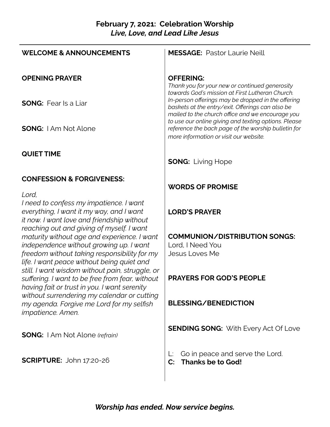## **February 7, 2021: Celebration Worship** *Live, Love, and Lead Like Jesus*

| <b>WELCOME &amp; ANNOUNCEMENTS</b>                                                                                                                                                                                                | <b>MESSAGE: Pastor Laurie Neill</b>                                                                                                                                                                           |
|-----------------------------------------------------------------------------------------------------------------------------------------------------------------------------------------------------------------------------------|---------------------------------------------------------------------------------------------------------------------------------------------------------------------------------------------------------------|
| <b>OPENING PRAYER</b>                                                                                                                                                                                                             | <b>OFFERING:</b><br>Thank you for your new or continued generosity                                                                                                                                            |
| <b>SONG:</b> Fear Is a Liar                                                                                                                                                                                                       | towards God's mission at First Lutheran Church.<br>In-person offerings may be dropped in the offering<br>baskets at the entry/exit. Offerings can also be<br>mailed to the church office and we encourage you |
| <b>SONG:</b> I Am Not Alone                                                                                                                                                                                                       | to use our online giving and texting options. Please<br>reference the back page of the worship bulletin for<br>more information or visit our website.                                                         |
| <b>QUIET TIME</b>                                                                                                                                                                                                                 | <b>SONG: Living Hope</b>                                                                                                                                                                                      |
| <b>CONFESSION &amp; FORGIVENESS:</b><br>Lord,                                                                                                                                                                                     | <b>WORDS OF PROMISE</b>                                                                                                                                                                                       |
| I need to confess my impatience. I want<br>everything, I want it my way, and I want<br>it now. I want love and friendship without                                                                                                 | <b>LORD'S PRAYER</b>                                                                                                                                                                                          |
| reaching out and giving of myself. I want<br>maturity without age and experience. I want<br>independence without growing up. I want<br>freedom without taking responsibility for my<br>life. I want peace without being quiet and | <b>COMMUNION/DISTRIBUTION SONGS:</b><br>Lord, I Need You<br><b>Jesus Loves Me</b>                                                                                                                             |
| still. I want wisdom without pain, struggle, or<br>suffering. I want to be free from fear, without<br>having fait or trust in you. I want serenity                                                                                | <b>PRAYERS FOR GOD'S PEOPLE</b>                                                                                                                                                                               |
| without surrendering my calendar or cutting<br>my agenda. Forgive me Lord for my selfish<br>impatience. Amen.                                                                                                                     | <b>BLESSING/BENEDICTION</b>                                                                                                                                                                                   |
| <b>SONG:</b> I Am Not Alone (refrain)                                                                                                                                                                                             | <b>SENDING SONG:</b> With Every Act Of Love                                                                                                                                                                   |
| <b>SCRIPTURE: John 17:20-26</b>                                                                                                                                                                                                   | Go in peace and serve the Lord.<br>L.<br><b>Thanks be to God!</b><br>$\mathsf{C}$ :                                                                                                                           |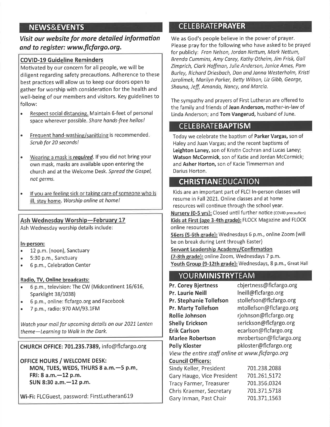# **NEWS&EVENTS**

Visit our website for more detailed information and to register: www.flcfargo.org.

#### **COVID-19 Guideline Reminders**

Motivated by our concern for all people, we will be diligent regarding safety precautions. Adherence to these best practices will allow us to keep our doors open to gather for worship with consideration for the health and well-being of our members and visitors. Key guidelines to follow:

- Respect social distancing. Maintain 6-feet of personal space wherever possible. Share hands-free hellos!
- $\bullet$ Frequent hand-washing/sanitizing is recommended. Scrub for 20 seconds!
- Wearing a mask is required. If you did not bring your  $\bullet$ own mask, masks are available upon entering the church and at the Welcome Desk. Spread the Gospel, not germs.
- If you are feeling sick or taking care of someone who is ill, stay home. Worship online at home!

#### Ash Wednesday Worship-February 17

Ash Wednesday worship details include:

#### In-person:

- 12 p.m. (noon), Sanctuary  $\bullet$
- 5:30 p.m., Sanctuary  $\bullet$
- 6 p.m., Celebration Center  $\bullet$

#### Radio, TV, Online broadcasts:

- 6 p.m., television: The CW (Midcontinent 16/616,  $\bullet$ Sparklight 38/1038)
- 6 p.m., online: flcfargo.org and Facebook
- $\bullet$ 7 p.m., radio: 970 AM/93.1FM

Watch your mail for upcoming details on our 2021 Lenten theme-Learning to Walk in the Dark.

CHURCH OFFICE: 701.235.7389, info@flcfargo.org

**OFFICE HOURS / WELCOME DESK:** MON, TUES, WEDS, THURS 8 a.m. - 5 p.m. FRI: 8 a.m. - 12 p.m. SUN 8:30 a.m. - 12 p.m.

Wi-Fi: FLCGuest, password: FirstLutheran619

# **CELEBRATEPRAYER**

We as God's people believe in the power of prayer. Please pray for the following who have asked to be prayed for publicly: Fran Nelson, Jordan Nettum, Mark Nettum, Brenda Cummins, Amy Carey, Kathy Otheim, Jim Frisk, Gail Zimprich, Clark Hoffman, Julie Anderson, Janice Ames, Pam Burley, Richard Driesbach, Dan and Janna Westerholm, Kristi Jarolimek, Marilyn Parker, Betty Wilson, Liz Gibb, George, Shauna, Jeff, Amanda, Nancy, and Marcia.

The sympathy and prayers of First Lutheran are offered to the family and friends of Jean Anderson, mother-in-law of Linda Anderson; and Tom Vangerud, husband of June.

## **CELEBRATEBAPTISM**

Today we celebrate the baptism of Parker Vargas, son of Haley and Juan Vargas; and the recent baptisms of Leighton Laney, son of Kristin Cochran and Lucas Laney; Watson McCormick, son of Katie and Jordan McCormick; and Asher Horton, son of Kacie Timmerman and Darius Horton.

## **CHRISTIANEDUCATION**

Kids are an important part of FLC! In-person classes will resume in Fall 2021. Online classes and at home resources will continue through the school year. Nursery (0-5 yrs): Closed until further notice (COVID precaution) Kids at First (age 3-4th grade): FLOCK Magazine and FLOCK online resources

56ers (5-6th grade): Wednesdays 6 p.m., online Zoom (will be on break during Lent through Easter)

Servant Leadership Academy/Confirmation

(7-8th grade): online Zoom, Wednesdays 7 p.m. Youth Group (9-12th grade): Wednesdays, 8 p.m., Great Hall

# YOURMINISTRYTEAM

cbjertness@flcfargo.org **Pr. Corey Bjertness** Pr. Laurie Neill Ineill@flcfargo.org stollefson@flcfargo.org Pr. Stephanie Tollefson Pr. Marty Tollefson mtollefson@flcfargo.org rjohnson@flcfargo.org **Rollie Johnson** serickson@flcfargo.org **Shelly Erickson** ecarlson@flcfargo.org **Erik Carlson** mrobertson@flcfargo.org **Marlee Robertson** pkloster@flcfargo.org **Polly Kloster** View the entire staff online at www.flcfargo.org **Council Officers:** Sindy Keller, President 701.238.2088 Gary Haugo, Vice President 701.261.5172 701.356.0324 Tracy Farmer, Treasurer Chris Kraemer, Secretary

701.371.5718 Gary Inman, Past Chair 701.371.1563